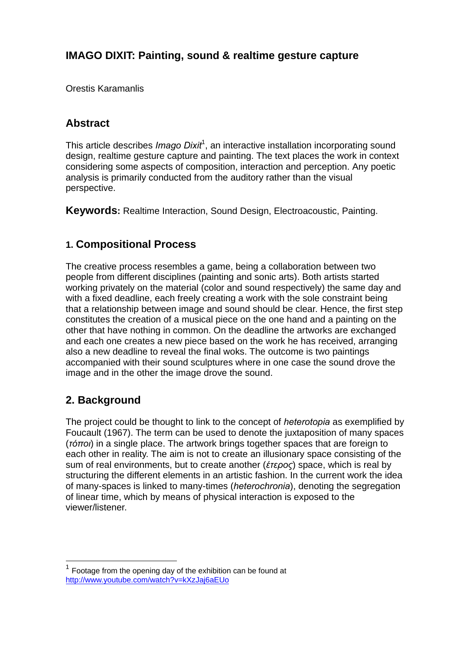# **IMAGO DIXIT: Painting, sound & realtime gesture capture**

Orestis Karamanlis

## **Abstract**

This article describes *Imago Dixit<sup>1</sup>*, an interactive installation incorporating sound design, realtime gesture capture and painting. The text places the work in context considering some aspects of composition, interaction and perception. Any poetic analysis is primarily conducted from the auditory rather than the visual perspective.

**Keywords:** Realtime Interaction, Sound Design, Electroacoustic, Painting.

## **1. Compositional Process**

The creative process resembles a game, being a collaboration between two people from different disciplines (painting and sonic arts). Both artists started working privately on the material (color and sound respectively) the same day and with a fixed deadline, each freely creating a work with the sole constraint being that a relationship between image and sound should be clear. Hence, the first step constitutes the creation of a musical piece on the one hand and a painting on the other that have nothing in common. On the deadline the artworks are exchanged and each one creates a new piece based on the work he has received, arranging also a new deadline to reveal the final woks. The outcome is two paintings accompanied with their sound sculptures where in one case the sound drove the image and in the other the image drove the sound.

## **2. Background**

The project could be thought to link to the concept of *heterotopia* as exemplified by Foucault (1967). The term can be used to denote the juxtaposition of many spaces (*τόποι*) in a single place. The artwork brings together spaces that are foreign to each other in reality. The aim is not to create an illusionary space consisting of the sum of real environments, but to create another (*έτερος*) space, which is real by structuring the different elements in an artistic fashion. In the current work the idea of many-spaces is linked to many-times (*heterochronia*), denoting the segregation of linear time, which by means of physical interaction is exposed to the viewer/listener.

<sup>1</sup> Footage from the opening day of the exhibition can be found at http://www.youtube.com/watch?v=kXzJaj6aEUo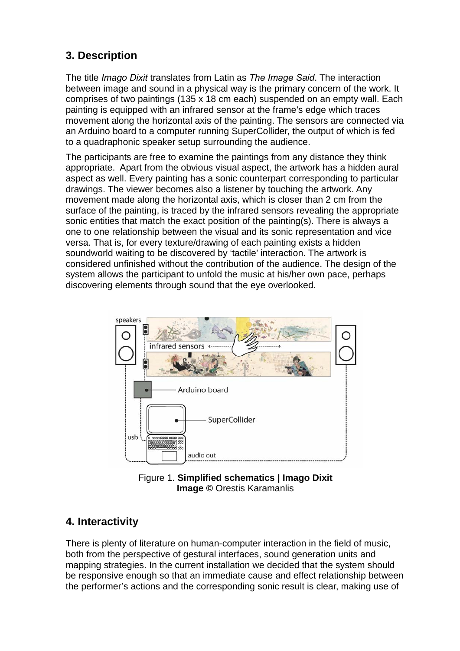# **3. Description**

The title *Imago Dixit* translates from Latin as *The Image Said*. The interaction between image and sound in a physical way is the primary concern of the work. It comprises of two paintings (135 x 18 cm each) suspended on an empty wall. Each painting is equipped with an infrared sensor at the frame's edge which traces movement along the horizontal axis of the painting. The sensors are connected via an Arduino board to a computer running SuperCollider, the output of which is fed to a quadraphonic speaker setup surrounding the audience.

The participants are free to examine the paintings from any distance they think appropriate. Apart from the obvious visual aspect, the artwork has a hidden aural aspect as well. Every painting has a sonic counterpart corresponding to particular drawings. The viewer becomes also a listener by touching the artwork. Any movement made along the horizontal axis, which is closer than 2 cm from the surface of the painting, is traced by the infrared sensors revealing the appropriate sonic entities that match the exact position of the painting(s). There is always a one to one relationship between the visual and its sonic representation and vice versa. That is, for every texture/drawing of each painting exists a hidden soundworld waiting to be discovered by 'tactile' interaction. The artwork is considered unfinished without the contribution of the audience. The design of the system allows the participant to unfold the music at his/her own pace, perhaps discovering elements through sound that the eye overlooked.



Figure 1. **Simplified schematics | Imago Dixit Image ©** Orestis Karamanlis

# **4. Interactivity**

There is plenty of literature on human-computer interaction in the field of music, both from the perspective of gestural interfaces, sound generation units and mapping strategies. In the current installation we decided that the system should be responsive enough so that an immediate cause and effect relationship between the performer's actions and the corresponding sonic result is clear, making use of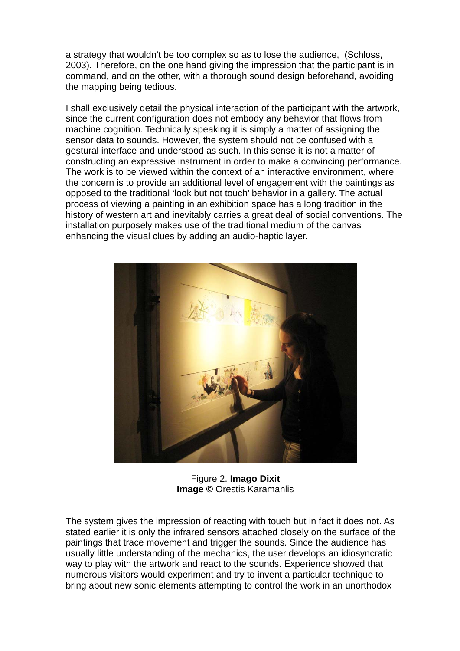a strategy that wouldn't be too complex so as to lose the audience, (Schloss, 2003). Therefore, on the one hand giving the impression that the participant is in command, and on the other, with a thorough sound design beforehand, avoiding the mapping being tedious.

I shall exclusively detail the physical interaction of the participant with the artwork, since the current configuration does not embody any behavior that flows from machine cognition. Technically speaking it is simply a matter of assigning the sensor data to sounds. However, the system should not be confused with a gestural interface and understood as such. In this sense it is not a matter of constructing an expressive instrument in order to make a convincing performance. The work is to be viewed within the context of an interactive environment, where the concern is to provide an additional level of engagement with the paintings as opposed to the traditional 'look but not touch' behavior in a gallery. The actual process of viewing a painting in an exhibition space has a long tradition in the history of western art and inevitably carries a great deal of social conventions. The installation purposely makes use of the traditional medium of the canvas enhancing the visual clues by adding an audio-haptic layer.



Figure 2. **Imago Dixit Image ©** Orestis Karamanlis

The system gives the impression of reacting with touch but in fact it does not. As stated earlier it is only the infrared sensors attached closely on the surface of the paintings that trace movement and trigger the sounds. Since the audience has usually little understanding of the mechanics, the user develops an idiosyncratic way to play with the artwork and react to the sounds. Experience showed that numerous visitors would experiment and try to invent a particular technique to bring about new sonic elements attempting to control the work in an unorthodox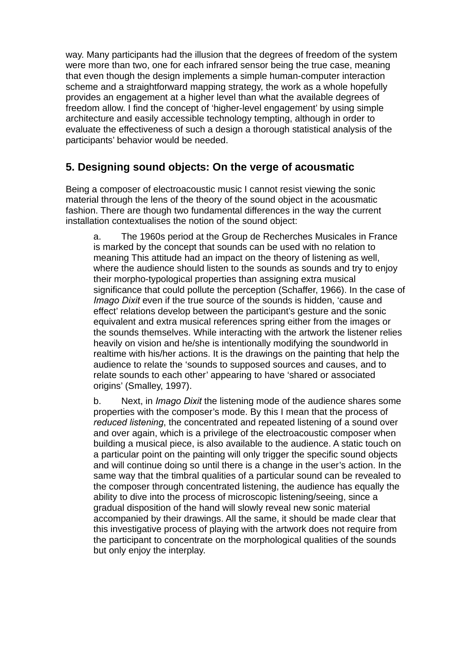way. Many participants had the illusion that the degrees of freedom of the system were more than two, one for each infrared sensor being the true case, meaning that even though the design implements a simple human-computer interaction scheme and a straightforward mapping strategy, the work as a whole hopefully provides an engagement at a higher level than what the available degrees of freedom allow. I find the concept of 'higher-level engagement' by using simple architecture and easily accessible technology tempting, although in order to evaluate the effectiveness of such a design a thorough statistical analysis of the participants' behavior would be needed.

# **5. Designing sound objects: On the verge of acousmatic**

Being a composer of electroacoustic music I cannot resist viewing the sonic material through the lens of the theory of the sound object in the acousmatic fashion. There are though two fundamental differences in the way the current installation contextualises the notion of the sound object:

a. The 1960s period at the Group de Recherches Musicales in France is marked by the concept that sounds can be used with no relation to meaning This attitude had an impact on the theory of listening as well, where the audience should listen to the sounds as sounds and try to enjoy their morpho-typological properties than assigning extra musical significance that could pollute the perception (Schaffer, 1966). In the case of *Imago Dixit* even if the true source of the sounds is hidden, 'cause and effect' relations develop between the participant's gesture and the sonic equivalent and extra musical references spring either from the images or the sounds themselves. While interacting with the artwork the listener relies heavily on vision and he/she is intentionally modifying the soundworld in realtime with his/her actions. It is the drawings on the painting that help the audience to relate the 'sounds to supposed sources and causes, and to relate sounds to each other' appearing to have 'shared or associated origins' (Smalley, 1997).

b. Next, in *Imago Dixit* the listening mode of the audience shares some properties with the composer's mode. By this I mean that the process of *reduced listening*, the concentrated and repeated listening of a sound over and over again, which is a privilege of the electroacoustic composer when building a musical piece, is also available to the audience. A static touch on a particular point on the painting will only trigger the specific sound objects and will continue doing so until there is a change in the user's action. In the same way that the timbral qualities of a particular sound can be revealed to the composer through concentrated listening, the audience has equally the ability to dive into the process of microscopic listening/seeing, since a gradual disposition of the hand will slowly reveal new sonic material accompanied by their drawings. All the same, it should be made clear that this investigative process of playing with the artwork does not require from the participant to concentrate on the morphological qualities of the sounds but only enjoy the interplay.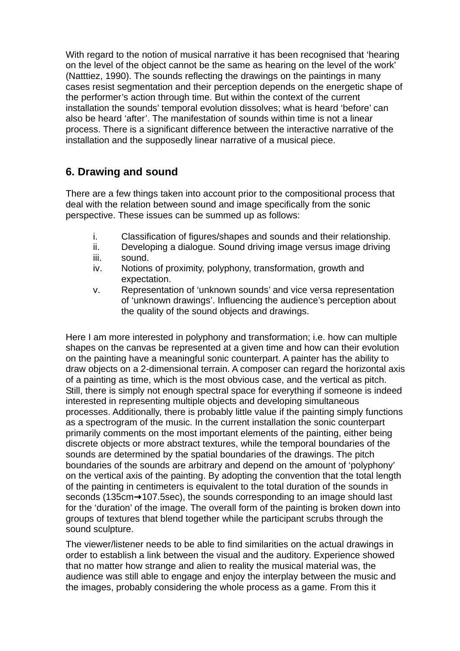With regard to the notion of musical narrative it has been recognised that 'hearing on the level of the object cannot be the same as hearing on the level of the work' (Natttiez, 1990). The sounds reflecting the drawings on the paintings in many cases resist segmentation and their perception depends on the energetic shape of the performer's action through time. But within the context of the current installation the sounds' temporal evolution dissolves; what is heard 'before' can also be heard 'after'. The manifestation of sounds within time is not a linear process. There is a significant difference between the interactive narrative of the installation and the supposedly linear narrative of a musical piece.

# **6. Drawing and sound**

There are a few things taken into account prior to the compositional process that deal with the relation between sound and image specifically from the sonic perspective. These issues can be summed up as follows:

- i. Classification of figures/shapes and sounds and their relationship.
- ii. Developing a dialogue. Sound driving image versus image driving
- iii. sound.
- iv. Notions of proximity, polyphony, transformation, growth and expectation.
- v. Representation of 'unknown sounds' and vice versa representation of 'unknown drawings'. Influencing the audience's perception about the quality of the sound objects and drawings.

Here I am more interested in polyphony and transformation; i.e. how can multiple shapes on the canvas be represented at a given time and how can their evolution on the painting have a meaningful sonic counterpart. A painter has the ability to draw objects on a 2-dimensional terrain. A composer can regard the horizontal axis of a painting as time, which is the most obvious case, and the vertical as pitch. Still, there is simply not enough spectral space for everything if someone is indeed interested in representing multiple objects and developing simultaneous processes. Additionally, there is probably little value if the painting simply functions as a spectrogram of the music. In the current installation the sonic counterpart primarily comments on the most important elements of the painting, either being discrete objects or more abstract textures, while the temporal boundaries of the sounds are determined by the spatial boundaries of the drawings. The pitch boundaries of the sounds are arbitrary and depend on the amount of 'polyphony' on the vertical axis of the painting. By adopting the convention that the total length of the painting in centimeters is equivalent to the total duration of the sounds in seconds (135cm + 107.5sec), the sounds corresponding to an image should last for the 'duration' of the image. The overall form of the painting is broken down into groups of textures that blend together while the participant scrubs through the sound sculpture.

The viewer/listener needs to be able to find similarities on the actual drawings in order to establish a link between the visual and the auditory. Experience showed that no matter how strange and alien to reality the musical material was, the audience was still able to engage and enjoy the interplay between the music and the images, probably considering the whole process as a game. From this it